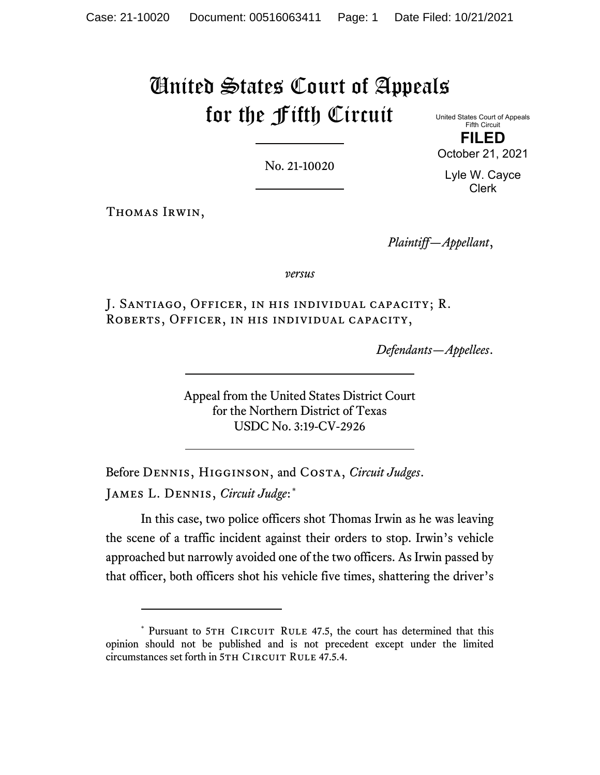# United States Court of Appeals for the Fifth Circuit

No. 21-10020

United States Court of Appeals Fifth Circuit

**FILED** October 21, 2021

Lyle W. Cayce Clerk

Thomas Irwin,

*Plaintiff—Appellant*,

*versus*

J. Santiago, Officer, in his individual capacity; R. Roberts, Officer, in his individual capacity,

*Defendants—Appellees*.

Appeal from the United States District Court for the Northern District of Texas USDC No. 3:19-CV-2926

Before Dennis, Higginson, and Costa, *Circuit Judges*. James L. Dennis, *Circuit Judge*:[\\*](#page-0-0)

In this case, two police officers shot Thomas Irwin as he was leaving the scene of a traffic incident against their orders to stop. Irwin's vehicle approached but narrowly avoided one of the two officers. As Irwin passed by that officer, both officers shot his vehicle five times, shattering the driver's

<span id="page-0-0"></span><sup>\*</sup> Pursuant to 5TH CIRCUIT RULE 47.5, the court has determined that this opinion should not be published and is not precedent except under the limited circumstances set forth in 5TH CIRCUIT RULE 47.5.4.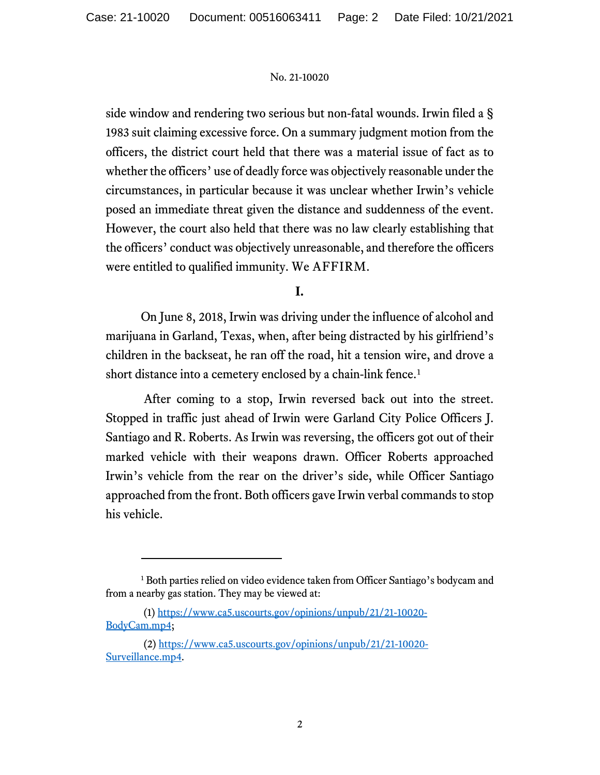side window and rendering two serious but non-fatal wounds. Irwin filed a § 1983 suit claiming excessive force. On a summary judgment motion from the officers, the district court held that there was a material issue of fact as to whether the officers' use of deadly force was objectively reasonable under the circumstances, in particular because it was unclear whether Irwin's vehicle posed an immediate threat given the distance and suddenness of the event. However, the court also held that there was no law clearly establishing that the officers' conduct was objectively unreasonable, and therefore the officers were entitled to qualified immunity. We AFFIRM.

# **I.**

On June 8, 2018, Irwin was driving under the influence of alcohol and marijuana in Garland, Texas, when, after being distracted by his girlfriend's children in the backseat, he ran off the road, hit a tension wire, and drove a short distance into a cemetery enclosed by a chain-link fence.<sup>[1](#page-1-0)</sup>

After coming to a stop, Irwin reversed back out into the street. Stopped in traffic just ahead of Irwin were Garland City Police Officers J. Santiago and R. Roberts. As Irwin was reversing, the officers got out of their marked vehicle with their weapons drawn. Officer Roberts approached Irwin's vehicle from the rear on the driver's side, while Officer Santiago approached from the front. Both officers gave Irwin verbal commands to stop his vehicle.

<span id="page-1-0"></span><sup>&</sup>lt;sup>1</sup> Both parties relied on video evidence taken from Officer Santiago's bodycam and from a nearby gas station. They may be viewed at:

<sup>(1)</sup> [https://www.ca5.uscourts.gov/opinions/unpub/21/21-10020-](https://www.ca5.uscourts.gov/opinions/unpub/21/21-10020-BodyCam.mp4) [BodyCam.mp4;](https://www.ca5.uscourts.gov/opinions/unpub/21/21-10020-BodyCam.mp4)

<sup>(2)</sup> [https://www.ca5.uscourts.gov/opinions/unpub/21/21-10020-](https://www.ca5.uscourts.gov/opinions/unpub/21/21-10020-Surveillance.mp4) [Surveillance.mp4.](https://www.ca5.uscourts.gov/opinions/unpub/21/21-10020-Surveillance.mp4)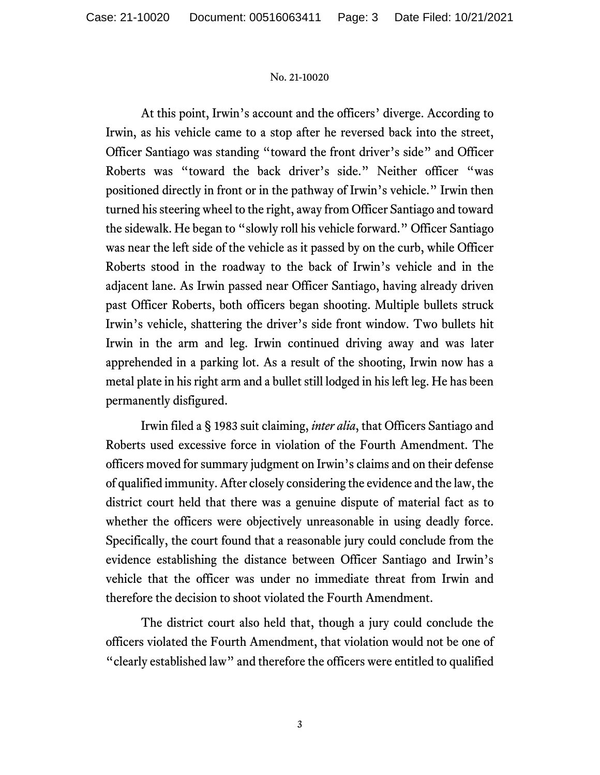At this point, Irwin's account and the officers' diverge. According to Irwin, as his vehicle came to a stop after he reversed back into the street, Officer Santiago was standing "toward the front driver's side" and Officer Roberts was "toward the back driver's side." Neither officer "was positioned directly in front or in the pathway of Irwin's vehicle." Irwin then turned his steering wheel to the right, away from Officer Santiago and toward the sidewalk. He began to "slowly roll his vehicle forward." Officer Santiago was near the left side of the vehicle as it passed by on the curb, while Officer Roberts stood in the roadway to the back of Irwin's vehicle and in the adjacent lane. As Irwin passed near Officer Santiago, having already driven past Officer Roberts, both officers began shooting. Multiple bullets struck Irwin's vehicle, shattering the driver's side front window. Two bullets hit Irwin in the arm and leg. Irwin continued driving away and was later apprehended in a parking lot. As a result of the shooting, Irwin now has a metal plate in his right arm and a bullet still lodged in his left leg. He has been permanently disfigured.

Irwin filed a § 1983 suit claiming, *inter alia*, that Officers Santiago and Roberts used excessive force in violation of the Fourth Amendment. The officers moved for summary judgment on Irwin's claims and on their defense of qualified immunity. After closely considering the evidence and the law, the district court held that there was a genuine dispute of material fact as to whether the officers were objectively unreasonable in using deadly force. Specifically, the court found that a reasonable jury could conclude from the evidence establishing the distance between Officer Santiago and Irwin's vehicle that the officer was under no immediate threat from Irwin and therefore the decision to shoot violated the Fourth Amendment.

The district court also held that, though a jury could conclude the officers violated the Fourth Amendment, that violation would not be one of "clearly established law" and therefore the officers were entitled to qualified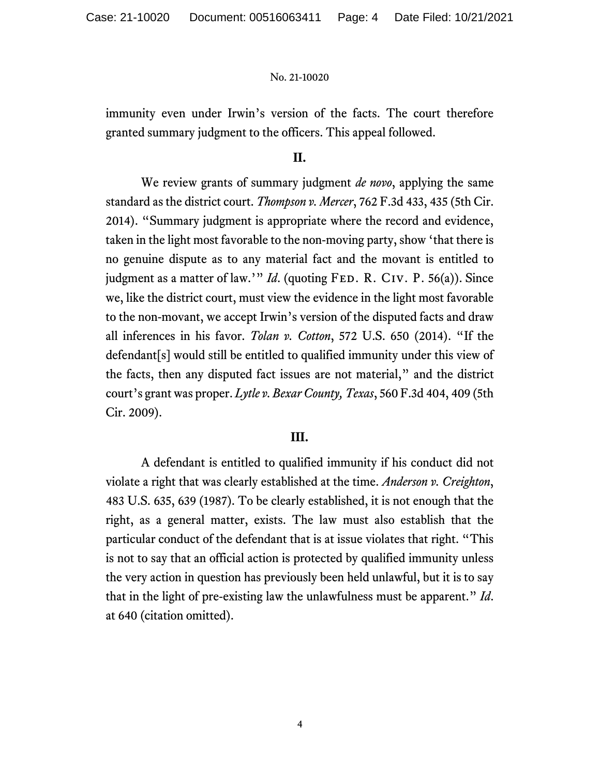immunity even under Irwin's version of the facts. The court therefore granted summary judgment to the officers. This appeal followed.

### **II.**

We review grants of summary judgment *de novo*, applying the same standard as the district court. *Thompson v. Mercer*, 762 F.3d 433, 435 (5th Cir. 2014). "Summary judgment is appropriate where the record and evidence, taken in the light most favorable to the non-moving party, show 'that there is no genuine dispute as to any material fact and the movant is entitled to judgment as a matter of law.'" *Id.* (quoting FED. R. CIV. P. 56(a)). Since we, like the district court, must view the evidence in the light most favorable to the non-movant, we accept Irwin's version of the disputed facts and draw all inferences in his favor. *Tolan v. Cotton*, 572 U.S. 650 (2014). "If the defendant[s] would still be entitled to qualified immunity under this view of the facts, then any disputed fact issues are not material," and the district court's grant was proper. *Lytle v. Bexar County, Texas*, 560 F.3d 404, 409 (5th Cir. 2009).

#### **III.**

A defendant is entitled to qualified immunity if his conduct did not violate a right that was clearly established at the time. *Anderson v. Creighton*, 483 U.S. 635, 639 (1987). To be clearly established, it is not enough that the right, as a general matter, exists. The law must also establish that the particular conduct of the defendant that is at issue violates that right. "This is not to say that an official action is protected by qualified immunity unless the very action in question has previously been held unlawful, but it is to say that in the light of pre-existing law the unlawfulness must be apparent." *Id*. at 640 (citation omitted).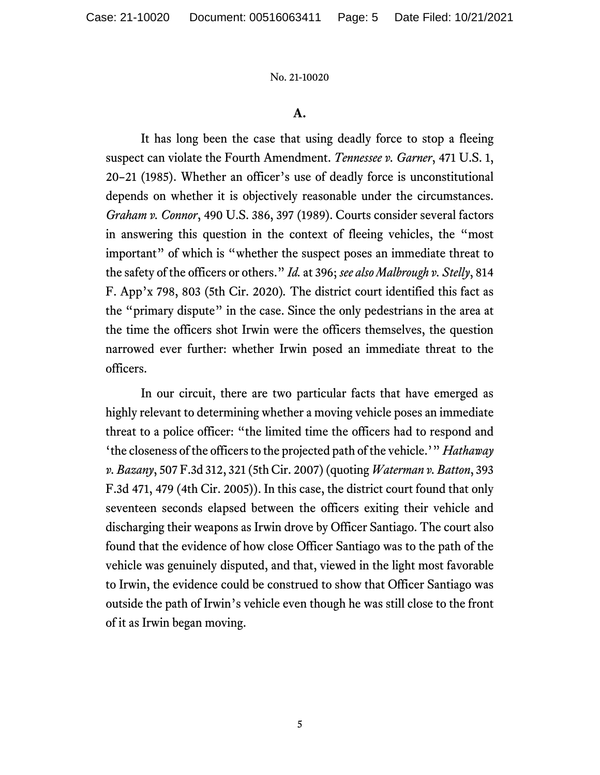## **A.**

It has long been the case that using deadly force to stop a fleeing suspect can violate the Fourth Amendment. *Tennessee v. Garner*, 471 U.S. 1, 20–21 (1985). Whether an officer's use of deadly force is unconstitutional depends on whether it is objectively reasonable under the circumstances. *Graham v. Connor*, 490 U.S. 386, 397 (1989). Courts consider several factors in answering this question in the context of fleeing vehicles, the "most important" of which is "whether the suspect poses an immediate threat to the safety of the officers or others." *Id.* at 396; *see also Malbrough v. Stelly*, 814 F. App'x 798, 803 (5th Cir. 2020)*.* The district court identified this fact as the "primary dispute" in the case. Since the only pedestrians in the area at the time the officers shot Irwin were the officers themselves, the question narrowed ever further: whether Irwin posed an immediate threat to the officers.

In our circuit, there are two particular facts that have emerged as highly relevant to determining whether a moving vehicle poses an immediate threat to a police officer: "the limited time the officers had to respond and 'the closeness of the officers to the projected path of the vehicle.'" *Hathaway v. Bazany*, 507 F.3d 312, 321 (5th Cir. 2007) (quoting *Waterman v. Batton*, 393 F.3d 471, 479 (4th Cir. 2005)). In this case, the district court found that only seventeen seconds elapsed between the officers exiting their vehicle and discharging their weapons as Irwin drove by Officer Santiago. The court also found that the evidence of how close Officer Santiago was to the path of the vehicle was genuinely disputed, and that, viewed in the light most favorable to Irwin, the evidence could be construed to show that Officer Santiago was outside the path of Irwin's vehicle even though he was still close to the front of it as Irwin began moving.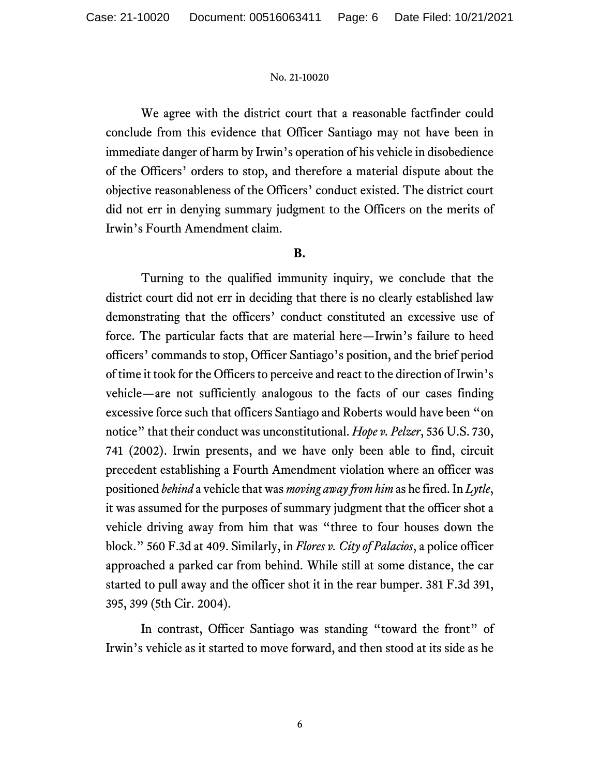We agree with the district court that a reasonable factfinder could conclude from this evidence that Officer Santiago may not have been in immediate danger of harm by Irwin's operation of his vehicle in disobedience of the Officers' orders to stop, and therefore a material dispute about the objective reasonableness of the Officers' conduct existed. The district court did not err in denying summary judgment to the Officers on the merits of Irwin's Fourth Amendment claim.

## **B.**

Turning to the qualified immunity inquiry, we conclude that the district court did not err in deciding that there is no clearly established law demonstrating that the officers' conduct constituted an excessive use of force. The particular facts that are material here—Irwin's failure to heed officers' commands to stop, Officer Santiago's position, and the brief period of time it took for the Officers to perceive and react to the direction of Irwin's vehicle—are not sufficiently analogous to the facts of our cases finding excessive force such that officers Santiago and Roberts would have been "on notice" that their conduct was unconstitutional. *Hope v. Pelzer*, 536 U.S. 730, 741 (2002). Irwin presents, and we have only been able to find, circuit precedent establishing a Fourth Amendment violation where an officer was positioned *behind* a vehicle that was *moving away from him* as he fired. In *Lytle*, it was assumed for the purposes of summary judgment that the officer shot a vehicle driving away from him that was "three to four houses down the block." 560 F.3d at 409. Similarly, in *Flores v. City of Palacios*, a police officer approached a parked car from behind. While still at some distance, the car started to pull away and the officer shot it in the rear bumper. 381 F.3d 391, 395, 399 (5th Cir. 2004).

In contrast, Officer Santiago was standing "toward the front" of Irwin's vehicle as it started to move forward, and then stood at its side as he